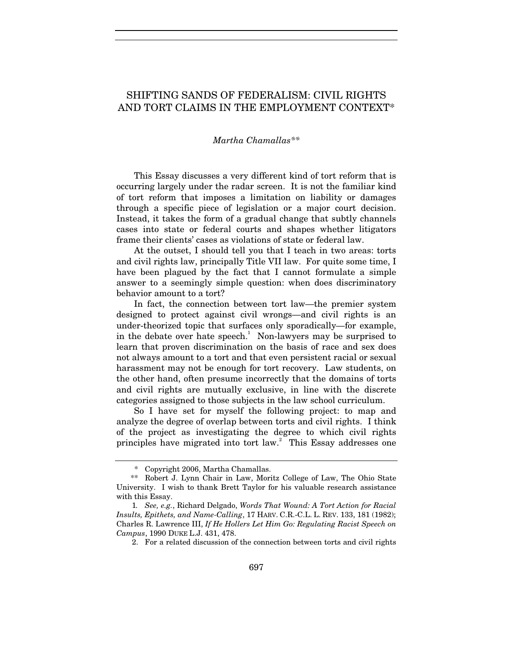## SHIFTING SANDS OF FEDERALISM: CIVIL RIGHTS AND TORT CLAIMS IN THE EMPLOYMENT CONTEXT\*

## *Martha Chamallas\*\**

This Essay discusses a very different kind of tort reform that is occurring largely under the radar screen. It is not the familiar kind of tort reform that imposes a limitation on liability or damages through a specific piece of legislation or a major court decision. Instead, it takes the form of a gradual change that subtly channels cases into state or federal courts and shapes whether litigators frame their clients' cases as violations of state or federal law.

At the outset, I should tell you that I teach in two areas: torts and civil rights law, principally Title VII law. For quite some time, I have been plagued by the fact that I cannot formulate a simple answer to a seemingly simple question: when does discriminatory behavior amount to a tort?

In fact, the connection between tort law—the premier system designed to protect against civil wrongs—and civil rights is an under-theorized topic that surfaces only sporadically—for example, in the debate over hate speech.<sup>1</sup> Non-lawyers may be surprised to learn that proven discrimination on the basis of race and sex does not always amount to a tort and that even persistent racial or sexual harassment may not be enough for tort recovery. Law students, on the other hand, often presume incorrectly that the domains of torts and civil rights are mutually exclusive, in line with the discrete categories assigned to those subjects in the law school curriculum.

So I have set for myself the following project: to map and analyze the degree of overlap between torts and civil rights. I think of the project as investigating the degree to which civil rights principles have migrated into tort law.<sup>2</sup> This Essay addresses one

 <sup>\*</sup> Copyright 2006, Martha Chamallas.

 <sup>\*\*</sup> Robert J. Lynn Chair in Law, Moritz College of Law, The Ohio State University. I wish to thank Brett Taylor for his valuable research assistance with this Essay.

<sup>1</sup>*. See, e.g.*, Richard Delgado, *Words That Wound: A Tort Action for Racial Insults, Epithets, and Name-Calling*, 17 HARV. C.R.-C.L. L. REV. 133, 181 (1982); Charles R. Lawrence III, *If He Hollers Let Him Go: Regulating Racist Speech on Campus*, 1990 DUKE L.J. 431, 478.

 <sup>2.</sup> For a related discussion of the connection between torts and civil rights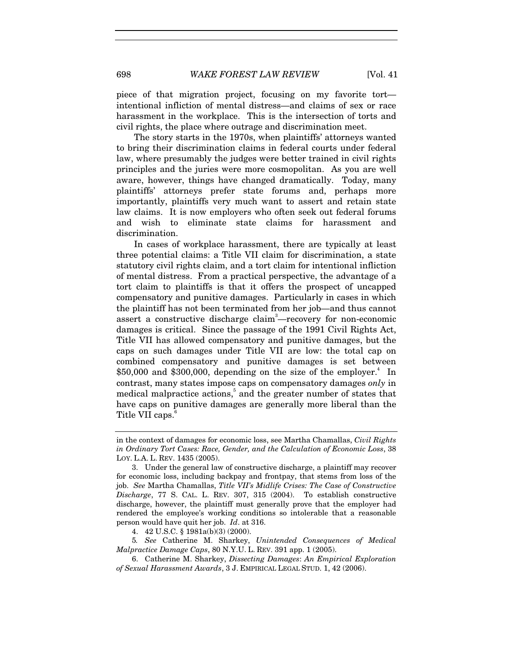698 *WAKE FOREST LAW REVIEW* [Vol. 41

piece of that migration project, focusing on my favorite tort intentional infliction of mental distress—and claims of sex or race harassment in the workplace. This is the intersection of torts and civil rights, the place where outrage and discrimination meet.

The story starts in the 1970s, when plaintiffs' attorneys wanted to bring their discrimination claims in federal courts under federal law, where presumably the judges were better trained in civil rights principles and the juries were more cosmopolitan. As you are well aware, however, things have changed dramatically. Today, many plaintiffs' attorneys prefer state forums and, perhaps more importantly, plaintiffs very much want to assert and retain state law claims. It is now employers who often seek out federal forums and wish to eliminate state claims for harassment and discrimination.

In cases of workplace harassment, there are typically at least three potential claims: a Title VII claim for discrimination, a state statutory civil rights claim, and a tort claim for intentional infliction of mental distress. From a practical perspective, the advantage of a tort claim to plaintiffs is that it offers the prospect of uncapped compensatory and punitive damages. Particularly in cases in which the plaintiff has not been terminated from her job—and thus cannot assert a constructive discharge claim<sup>3</sup>—recovery for non-economic damages is critical. Since the passage of the 1991 Civil Rights Act, Title VII has allowed compensatory and punitive damages, but the caps on such damages under Title VII are low: the total cap on combined compensatory and punitive damages is set between  $$50,000$  and  $$300,000$ , depending on the size of the employer.<sup>4</sup> In contrast, many states impose caps on compensatory damages *only* in medical malpractice actions,<sup>5</sup> and the greater number of states that have caps on punitive damages are generally more liberal than the Title VII caps.<sup>6</sup>

in the context of damages for economic loss, see Martha Chamallas, *Civil Rights in Ordinary Tort Cases: Race, Gender, and the Calculation of Economic Loss*, 38 LOY. L.A. L. REV. 1435 (2005).

 <sup>3.</sup> Under the general law of constructive discharge, a plaintiff may recover for economic loss, including backpay and frontpay, that stems from loss of the job. *See* Martha Chamallas, *Title VII's Midlife Crises: The Case of Constructive Discharge*, 77 S. CAL. L. REV. 307, 315 (2004). To establish constructive discharge, however, the plaintiff must generally prove that the employer had rendered the employee's working conditions so intolerable that a reasonable person would have quit her job. *Id*. at 316.

 <sup>4. 42</sup> U.S.C. § 1981a(b)(3) (2000).

<sup>5</sup>*. See* Catherine M. Sharkey, *Unintended Consequences of Medical Malpractice Damage Caps*, 80 N.Y.U. L. REV. 391 app. 1 (2005).

 <sup>6.</sup> Catherine M. Sharkey, *Dissecting Damages*: *An Empirical Exploration of Sexual Harassment Awards*, 3 J. EMPIRICAL LEGAL STUD. 1, 42 (2006).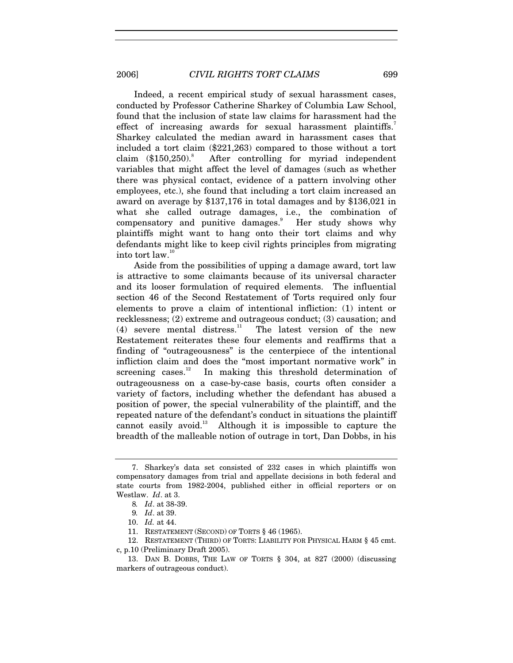Indeed, a recent empirical study of sexual harassment cases, conducted by Professor Catherine Sharkey of Columbia Law School, found that the inclusion of state law claims for harassment had the effect of increasing awards for sexual harassment plaintiffs.<sup>7</sup> Sharkey calculated the median award in harassment cases that included a tort claim (\$221,263) compared to those without a tort claim  $$150,250$ . After controlling for myriad independent variables that might affect the level of damages (such as whether there was physical contact, evidence of a pattern involving other employees, etc.), she found that including a tort claim increased an award on average by \$137,176 in total damages and by \$136,021 in what she called outrage damages, i.e., the combination of compensatory and punitive damages.<sup>9</sup> Her study shows why plaintiffs might want to hang onto their tort claims and why defendants might like to keep civil rights principles from migrating into tort law.10

Aside from the possibilities of upping a damage award, tort law is attractive to some claimants because of its universal character and its looser formulation of required elements. The influential section 46 of the Second Restatement of Torts required only four elements to prove a claim of intentional infliction: (1) intent or recklessness; (2) extreme and outrageous conduct; (3) causation; and (4) severe mental distress.<sup>11</sup> The latest version of the new Restatement reiterates these four elements and reaffirms that a finding of "outrageousness" is the centerpiece of the intentional infliction claim and does the "most important normative work" in screening cases.<sup>12</sup> In making this threshold determination of outrageousness on a case-by-case basis, courts often consider a variety of factors, including whether the defendant has abused a position of power, the special vulnerability of the plaintiff, and the repeated nature of the defendant's conduct in situations the plaintiff cannot easily avoid.<sup>13</sup> Although it is impossible to capture the breadth of the malleable notion of outrage in tort, Dan Dobbs, in his

 12. RESTATEMENT (THIRD) OF TORTS: LIABILITY FOR PHYSICAL HARM § 45 cmt. c, p.10 (Preliminary Draft 2005).

 <sup>7.</sup> Sharkey's data set consisted of 232 cases in which plaintiffs won compensatory damages from trial and appellate decisions in both federal and state courts from 1982-2004, published either in official reporters or on Westlaw. *Id*. at 3.

<sup>8</sup>*. Id*. at 38-39.

<sup>9</sup>*. Id*. at 39.

 <sup>10.</sup> *Id.* at 44.

 <sup>11.</sup> RESTATEMENT (SECOND) OF TORTS § 46 (1965).

 <sup>13.</sup> DAN B. DOBBS, THE LAW OF TORTS § 304, at 827 (2000) (discussing markers of outrageous conduct).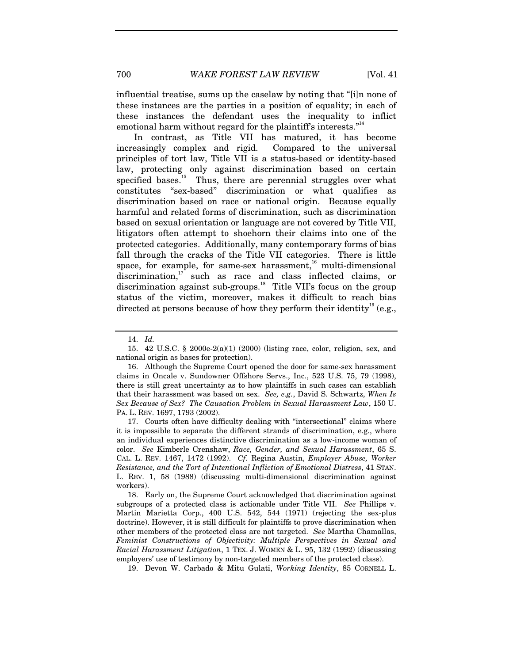700 *WAKE FOREST LAW REVIEW* [Vol. 41

influential treatise, sums up the caselaw by noting that "[i]n none of these instances are the parties in a position of equality; in each of these instances the defendant uses the inequality to inflict emotional harm without regard for the plaintiff's interests."<sup>14</sup>

In contrast, as Title VII has matured, it has become increasingly complex and rigid. Compared to the universal principles of tort law, Title VII is a status-based or identity-based law, protecting only against discrimination based on certain specified bases.<sup>15</sup> Thus, there are perennial struggles over what constitutes "sex-based" discrimination or what qualifies as discrimination based on race or national origin. Because equally harmful and related forms of discrimination, such as discrimination based on sexual orientation or language are not covered by Title VII, litigators often attempt to shoehorn their claims into one of the protected categories. Additionally, many contemporary forms of bias fall through the cracks of the Title VII categories. There is little space, for example, for same-sex harassment, $^{16}$  multi-dimensional discrimination, $17$  such as race and class inflected claims, or discrimination against sub-groups.<sup>18</sup> Title VII's focus on the group status of the victim, moreover, makes it difficult to reach bias directed at persons because of how they perform their identity<sup>19</sup> (e.g.,

 17. Courts often have difficulty dealing with "intersectional" claims where it is impossible to separate the different strands of discrimination, e.g., where an individual experiences distinctive discrimination as a low-income woman of color. *See* Kimberle Crenshaw, *Race, Gender, and Sexual Harassment*, 65 S. CAL. L. REV. 1467, 1472 (1992). *Cf.* Regina Austin, *Employer Abuse, Worker Resistance, and the Tort of Intentional Infliction of Emotional Distress*, 41 STAN. L. REV. 1, 58 (1988) (discussing multi-dimensional discrimination against workers).

 18. Early on, the Supreme Court acknowledged that discrimination against subgroups of a protected class is actionable under Title VII. *See* Phillips v. Martin Marietta Corp., 400 U.S. 542, 544 (1971) (rejecting the sex-plus doctrine). However, it is still difficult for plaintiffs to prove discrimination when other members of the protected class are not targeted. *See* Martha Chamallas, *Feminist Constructions of Objectivity: Multiple Perspectives in Sexual and Racial Harassment Litigation*, 1 TEX. J. WOMEN & L. 95, 132 (1992) (discussing employers' use of testimony by non-targeted members of the protected class).

19. Devon W. Carbado & Mitu Gulati, *Working Identity*, 85 CORNELL L.

 <sup>14.</sup> *Id.* 

 <sup>15. 42</sup> U.S.C. § 2000e-2(a)(1) (2000) (listing race, color, religion, sex, and national origin as bases for protection).

 <sup>16.</sup> Although the Supreme Court opened the door for same-sex harassment claims in Oncale v. Sundowner Offshore Servs., Inc., 523 U.S. 75, 79 (1998), there is still great uncertainty as to how plaintiffs in such cases can establish that their harassment was based on sex. *See, e.g.*, David S. Schwartz, *When Is Sex Because of Sex? The Causation Problem in Sexual Harassment Law*, 150 U. PA. L. REV. 1697, 1793 (2002).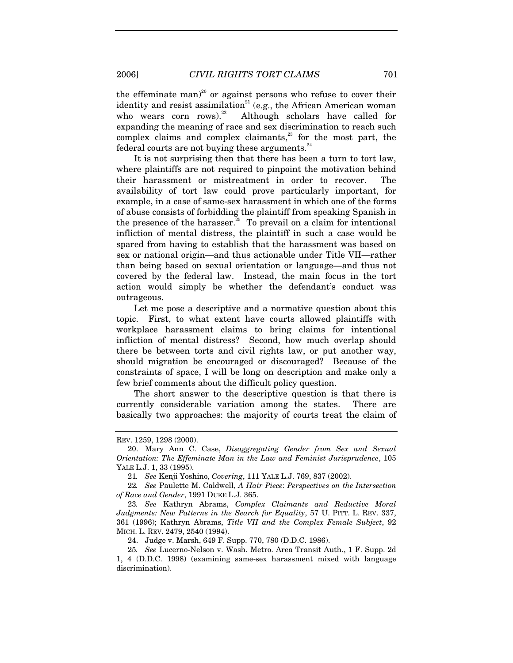the effeminate man)<sup>20</sup> or against persons who refuse to cover their identity and resist assimilation<sup>21</sup> (e.g., the African American woman<br>who wears corn rows).<sup>22</sup> Although scholars have called for Although scholars have called for expanding the meaning of race and sex discrimination to reach such complex claims and complex claimants,<sup>23</sup> for the most part, the federal courts are not buying these arguments. $^{24}$ 

It is not surprising then that there has been a turn to tort law, where plaintiffs are not required to pinpoint the motivation behind their harassment or mistreatment in order to recover. The availability of tort law could prove particularly important, for example, in a case of same-sex harassment in which one of the forms of abuse consists of forbidding the plaintiff from speaking Spanish in the presence of the harasser.<sup>25</sup> To prevail on a claim for intentional infliction of mental distress, the plaintiff in such a case would be spared from having to establish that the harassment was based on sex or national origin—and thus actionable under Title VII—rather than being based on sexual orientation or language—and thus not covered by the federal law. Instead, the main focus in the tort action would simply be whether the defendant's conduct was outrageous.

Let me pose a descriptive and a normative question about this topic. First, to what extent have courts allowed plaintiffs with workplace harassment claims to bring claims for intentional infliction of mental distress? Second, how much overlap should there be between torts and civil rights law, or put another way, should migration be encouraged or discouraged? Because of the constraints of space, I will be long on description and make only a few brief comments about the difficult policy question.

The short answer to the descriptive question is that there is currently considerable variation among the states. There are basically two approaches: the majority of courts treat the claim of

24. Judge v. Marsh, 649 F. Supp. 770, 780 (D.D.C. 1986).

REV. 1259, 1298 (2000).

 <sup>20.</sup> Mary Ann C. Case, *Disaggregating Gender from Sex and Sexual Orientation: The Effeminate Man in the Law and Feminist Jurisprudence*, 105 YALE L.J. 1, 33 (1995).

<sup>21</sup>*. See* Kenji Yoshino, *Covering*, 111 YALE L.J. 769, 837 (2002).

<sup>22</sup>*. See* Paulette M. Caldwell, *A Hair Piece*: *Perspectives on the Intersection of Race and Gender*, 1991 DUKE L.J. 365.

<sup>23</sup>*. See* Kathryn Abrams, *Complex Claimants and Reductive Moral Judgments: New Patterns in the Search for Equality*, 57 U. PITT. L. REV. 337, 361 (1996); Kathryn Abrams, *Title VII and the Complex Female Subject*, 92 MICH. L. REV. 2479, 2540 (1994).

<sup>25</sup>*. See* Lucerno-Nelson v. Wash. Metro. Area Transit Auth., 1 F. Supp. 2d 1, 4 (D.D.C. 1998) (examining same-sex harassment mixed with language discrimination).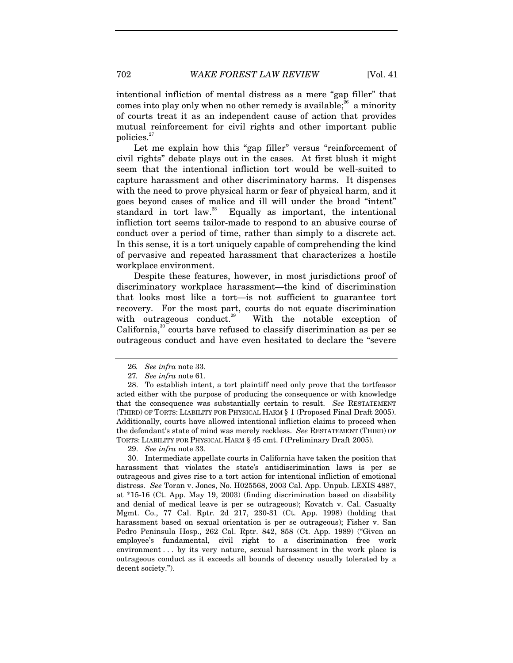intentional infliction of mental distress as a mere "gap filler" that comes into play only when no other remedy is available; $^{26}$  a minority of courts treat it as an independent cause of action that provides mutual reinforcement for civil rights and other important public policies.<sup>27</sup>

Let me explain how this "gap filler" versus "reinforcement of civil rights" debate plays out in the cases. At first blush it might seem that the intentional infliction tort would be well-suited to capture harassment and other discriminatory harms. It dispenses with the need to prove physical harm or fear of physical harm, and it goes beyond cases of malice and ill will under the broad "intent" standard in tort law.<sup>28</sup> Equally as important, the intentional infliction tort seems tailor-made to respond to an abusive course of conduct over a period of time, rather than simply to a discrete act. In this sense, it is a tort uniquely capable of comprehending the kind of pervasive and repeated harassment that characterizes a hostile workplace environment.

Despite these features, however, in most jurisdictions proof of discriminatory workplace harassment—the kind of discrimination that looks most like a tort—is not sufficient to guarantee tort recovery. For the most part, courts do not equate discrimination with outrageous conduct.<sup>29</sup> With the notable exception of California, $30$  courts have refused to classify discrimination as per se outrageous conduct and have even hesitated to declare the "severe

29. *See infra* note 33.

 30. Intermediate appellate courts in California have taken the position that harassment that violates the state's antidiscrimination laws is per se outrageous and gives rise to a tort action for intentional infliction of emotional distress. *See* Toran v. Jones, No. H025568, 2003 Cal. App. Unpub. LEXIS 4887, at \*15-16 (Ct. App. May 19, 2003) (finding discrimination based on disability and denial of medical leave is per se outrageous); Kovatch v. Cal. Casualty Mgmt. Co., 77 Cal. Rptr. 2d 217, 230-31 (Ct. App. 1998) (holding that harassment based on sexual orientation is per se outrageous); Fisher v. San Pedro Peninsula Hosp., 262 Cal. Rptr. 842, 858 (Ct. App. 1989) ("Given an employee's fundamental, civil right to a discrimination free work environment . . . by its very nature, sexual harassment in the work place is outrageous conduct as it exceeds all bounds of decency usually tolerated by a decent society.").

<sup>26</sup>*. See infra* note 33.

<sup>27</sup>*. See infra* note 61.

 <sup>28.</sup> To establish intent, a tort plaintiff need only prove that the tortfeasor acted either with the purpose of producing the consequence or with knowledge that the consequence was substantially certain to result. *See* RESTATEMENT (THIRD) OF TORTS: LIABILITY FOR PHYSICAL HARM § 1 (Proposed Final Draft 2005). Additionally, courts have allowed intentional infliction claims to proceed when the defendant's state of mind was merely reckless. *See* RESTATEMENT (THIRD) OF TORTS: LIABILITY FOR PHYSICAL HARM § 45 cmt. f (Preliminary Draft 2005).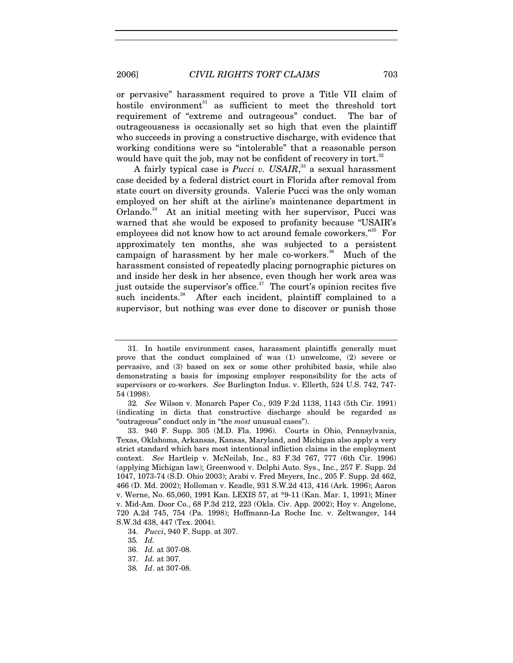or pervasive" harassment required to prove a Title VII claim of hostile environment<sup>31</sup> as sufficient to meet the threshold tort requirement of "extreme and outrageous" conduct. The bar of outrageousness is occasionally set so high that even the plaintiff who succeeds in proving a constructive discharge, with evidence that working conditions were so "intolerable" that a reasonable person would have quit the job, may not be confident of recovery in tort.<sup>32</sup>

A fairly typical case is *Pucci v. USAIR*,<sup>33</sup> a sexual harassment case decided by a federal district court in Florida after removal from state court on diversity grounds. Valerie Pucci was the only woman employed on her shift at the airline's maintenance department in Orlando.<sup>34</sup> At an initial meeting with her supervisor, Pucci was warned that she would be exposed to profanity because "USAIR's employees did not know how to act around female coworkers."<sup>35</sup> For approximately ten months, she was subjected to a persistent campaign of harassment by her male co-workers.<sup>36</sup> Much of the harassment consisted of repeatedly placing pornographic pictures on and inside her desk in her absence, even though her work area was just outside the supervisor's office. $37$  The court's opinion recites five such incidents.<sup>38</sup> After each incident, plaintiff complained to a supervisor, but nothing was ever done to discover or punish those

34. *Pucci*, 940 F. Supp. at 307.

 <sup>31.</sup> In hostile environment cases, harassment plaintiffs generally must prove that the conduct complained of was (1) unwelcome, (2) severe or pervasive, and (3) based on sex or some other prohibited basis, while also demonstrating a basis for imposing employer responsibility for the acts of supervisors or co-workers. *See* Burlington Indus. v. Ellerth, 524 U.S. 742, 747- 54 (1998).

<sup>32</sup>*. See* Wilson v. Monarch Paper Co., 939 F.2d 1138, 1143 (5th Cir. 1991) (indicating in dicta that constructive discharge should be regarded as "outrageous" conduct only in "the *most* unusual cases").

 <sup>33. 940</sup> F. Supp. 305 (M.D. Fla. 1996). Courts in Ohio, Pennsylvania, Texas, Oklahoma, Arkansas, Kansas, Maryland, and Michigan also apply a very strict standard which bars most intentional infliction claims in the employment context. *See* Hartleip v. McNeilab, Inc., 83 F.3d 767, 777 (6th Cir. 1996) (applying Michigan law); Greenwood v. Delphi Auto. Sys., Inc., 257 F. Supp. 2d 1047, 1073-74 (S.D. Ohio 2003); Arabi v. Fred Meyers, Inc., 205 F. Supp. 2d 462, 466 (D. Md. 2002); Holloman v. Keadle, 931 S.W.2d 413, 416 (Ark. 1996); Aaron v. Werne, No. 65,060, 1991 Kan. LEXIS 57, at \*9-11 (Kan. Mar. 1, 1991); Miner v. Mid-Am. Door Co., 68 P.3d 212, 223 (Okla. Civ. App. 2002); Hoy v. Angelone, 720 A.2d 745, 754 (Pa. 1998); Hoffmann-La Roche Inc. v. Zeltwanger, 144 S.W.3d 438, 447 (Tex. 2004).

<sup>35</sup>*. Id.*

 <sup>36.</sup> *Id.* at 307-08.

 <sup>37.</sup> *Id.* at 307.

<sup>38</sup>*. Id*. at 307-08.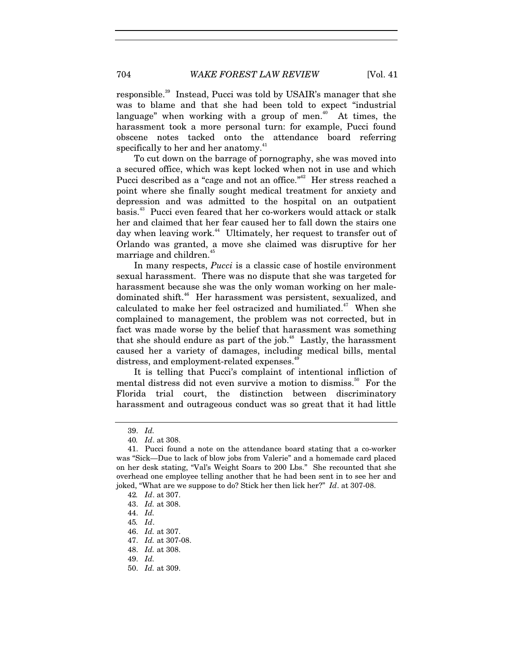responsible.<sup>39</sup> Instead, Pucci was told by USAIR's manager that she was to blame and that she had been told to expect "industrial language" when working with a group of men.<sup>40</sup> At times, the harassment took a more personal turn: for example, Pucci found obscene notes tacked onto the attendance board referring specifically to her and her anatomy.<sup>41</sup>

To cut down on the barrage of pornography, she was moved into a secured office, which was kept locked when not in use and which Pucci described as a "cage and not an office."<sup>42</sup> Her stress reached a point where she finally sought medical treatment for anxiety and depression and was admitted to the hospital on an outpatient basis.43 Pucci even feared that her co-workers would attack or stalk her and claimed that her fear caused her to fall down the stairs one day when leaving work.<sup>44</sup> Ultimately, her request to transfer out of Orlando was granted, a move she claimed was disruptive for her marriage and children.<sup>45</sup>

In many respects, *Pucci* is a classic case of hostile environment sexual harassment. There was no dispute that she was targeted for harassment because she was the only woman working on her maledominated shift.<sup>46</sup> Her harassment was persistent, sexualized, and calculated to make her feel ostracized and humiliated.<sup>47</sup> When she complained to management, the problem was not corrected, but in fact was made worse by the belief that harassment was something that she should endure as part of the job.<sup>48</sup> Lastly, the harassment caused her a variety of damages, including medical bills, mental distress, and employment-related expenses.<sup>4</sup>

It is telling that Pucci's complaint of intentional infliction of mental distress did not even survive a motion to dismiss.<sup>50</sup> For the Florida trial court, the distinction between discriminatory harassment and outrageous conduct was so great that it had little

 <sup>39.</sup> *Id.*

<sup>40</sup>*. Id*. at 308.

 <sup>41.</sup> Pucci found a note on the attendance board stating that a co-worker was "Sick—Due to lack of blow jobs from Valerie" and a homemade card placed on her desk stating, "Val's Weight Soars to 200 Lbs." She recounted that she overhead one employee telling another that he had been sent in to see her and joked, "What are we suppose to do? Stick her then lick her?" *Id*. at 307-08.

<sup>42</sup>*. Id*. at 307.

 <sup>43.</sup> *Id.* at 308.

 <sup>44.</sup> *Id.*

<sup>45</sup>*. Id*.

 <sup>46.</sup> *Id.* at 307.

 <sup>47.</sup> *Id.* at 307-08.

 <sup>48.</sup> *Id.* at 308.

 <sup>49.</sup> *Id.*

 <sup>50.</sup> *Id.* at 309.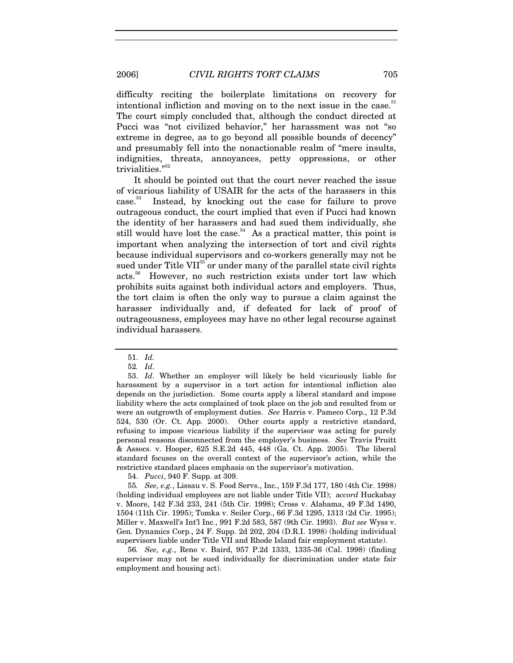difficulty reciting the boilerplate limitations on recovery for intentional infliction and moving on to the next issue in the case.<sup>51</sup> The court simply concluded that, although the conduct directed at Pucci was "not civilized behavior," her harassment was not "so extreme in degree, as to go beyond all possible bounds of decency" and presumably fell into the nonactionable realm of "mere insults, indignities, threats, annoyances, petty oppressions, or other trivialities."<sup>52</sup>

It should be pointed out that the court never reached the issue of vicarious liability of USAIR for the acts of the harassers in this case.53 Instead, by knocking out the case for failure to prove outrageous conduct, the court implied that even if Pucci had known the identity of her harassers and had sued them individually, she still would have lost the case. $54$  As a practical matter, this point is important when analyzing the intersection of tort and civil rights because individual supervisors and co-workers generally may not be sued under Title VII<sup>55</sup> or under many of the parallel state civil rights acts.56 However, no such restriction exists under tort law which prohibits suits against both individual actors and employers. Thus, the tort claim is often the only way to pursue a claim against the harasser individually and, if defeated for lack of proof of outrageousness, employees may have no other legal recourse against individual harassers.

54. *Pucci*, 940 F. Supp. at 309.

 <sup>51.</sup> *Id.*

<sup>52</sup>*. Id*.

 <sup>53.</sup> *Id*. Whether an employer will likely be held vicariously liable for harassment by a supervisor in a tort action for intentional infliction also depends on the jurisdiction. Some courts apply a liberal standard and impose liability where the acts complained of took place on the job and resulted from or were an outgrowth of employment duties. *See* Harris v. Pameco Corp., 12 P.3d 524, 530 (Or. Ct. App. 2000). Other courts apply a restrictive standard, refusing to impose vicarious liability if the supervisor was acting for purely personal reasons disconnected from the employer's business. *See* Travis Pruitt & Assocs. v. Hooper, 625 S.E.2d 445, 448 (Ga. Ct. App. 2005). The liberal standard focuses on the overall context of the supervisor's action, while the restrictive standard places emphasis on the supervisor's motivation.

<sup>55</sup>*. See, e.g.*, Lissau v. S. Food Servs., Inc., 159 F.3d 177, 180 (4th Cir. 1998) (holding individual employees are not liable under Title VII); a*ccord* Huckabay v. Moore, 142 F.3d 233, 241 (5th Cir. 1998); Cross v. Alabama, 49 F.3d 1490, 1504 (11th Cir. 1995); Tomka v. Seiler Corp., 66 F.3d 1295, 1313 (2d Cir. 1995); Miller v. Maxwell's Int'l Inc., 991 F.2d 583, 587 (9th Cir. 1993). *But see* Wyss v. Gen. Dynamics Corp., 24 F. Supp. 2d 202, 204 (D.R.I. 1998) (holding individual supervisors liable under Title VII and Rhode Island fair employment statute).

<sup>56</sup>*. See, e.g.*, Reno v. Baird, 957 P.2d 1333, 1335-36 (Cal. 1998) (finding supervisor may not be sued individually for discrimination under state fair employment and housing act).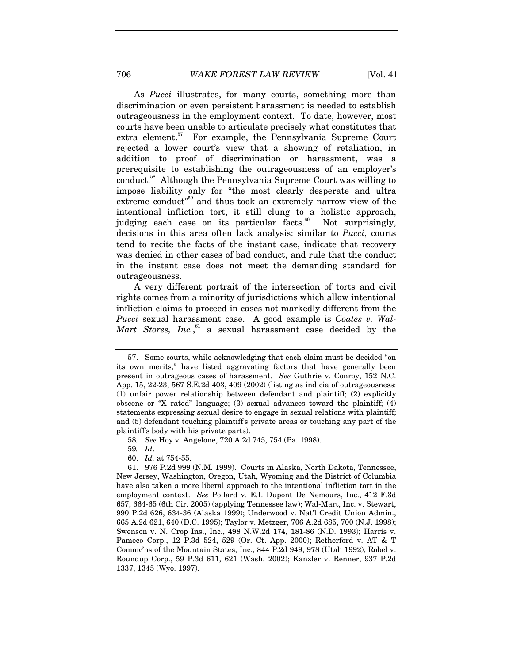As *Pucci* illustrates, for many courts, something more than discrimination or even persistent harassment is needed to establish outrageousness in the employment context. To date, however, most courts have been unable to articulate precisely what constitutes that extra element.<sup>57</sup> For example, the Pennsylvania Supreme Court rejected a lower court's view that a showing of retaliation, in addition to proof of discrimination or harassment, was a prerequisite to establishing the outrageousness of an employer's conduct.<sup>58</sup> Although the Pennsylvania Supreme Court was willing to impose liability only for "the most clearly desperate and ultra extreme conduct"<sup>59</sup> and thus took an extremely narrow view of the intentional infliction tort, it still clung to a holistic approach, judging each case on its particular facts.<sup>60</sup> Not surprisingly, decisions in this area often lack analysis: similar to *Pucci*, courts tend to recite the facts of the instant case, indicate that recovery was denied in other cases of bad conduct, and rule that the conduct in the instant case does not meet the demanding standard for outrageousness.

A very different portrait of the intersection of torts and civil rights comes from a minority of jurisdictions which allow intentional infliction claims to proceed in cases not markedly different from the *Pucci* sexual harassment case. A good example is *Coates v. Wal-*Mart Stores, Inc.,<sup>61</sup> a sexual harassment case decided by the

58*. See* Hoy v. Angelone, 720 A.2d 745, 754 (Pa. 1998).

59*. Id*.

60. *Id.* at 754-55.

 <sup>57.</sup> Some courts, while acknowledging that each claim must be decided "on its own merits," have listed aggravating factors that have generally been present in outrageous cases of harassment. *See* Guthrie v. Conroy, 152 N.C. App. 15, 22-23, 567 S.E.2d 403, 409 (2002) (listing as indicia of outrageousness: (1) unfair power relationship between defendant and plaintiff; (2) explicitly obscene or "X rated" language; (3) sexual advances toward the plaintiff; (4) statements expressing sexual desire to engage in sexual relations with plaintiff; and (5) defendant touching plaintiff's private areas or touching any part of the plaintiff's body with his private parts).

 <sup>61. 976</sup> P.2d 999 (N.M. 1999). Courts in Alaska, North Dakota, Tennessee, New Jersey, Washington, Oregon, Utah, Wyoming and the District of Columbia have also taken a more liberal approach to the intentional infliction tort in the employment context. *See* Pollard v. E.I. Dupont De Nemours, Inc., 412 F.3d 657, 664-65 (6th Cir. 2005) (applying Tennessee law); Wal-Mart, Inc. v. Stewart, 990 P.2d 626, 634-36 (Alaska 1999); Underwood v. Nat'l Credit Union Admin., 665 A.2d 621, 640 (D.C. 1995); Taylor v. Metzger, 706 A.2d 685, 700 (N.J. 1998); Swenson v. N. Crop Ins., Inc., 498 N.W.2d 174, 181-86 (N.D. 1993); Harris v. Pameco Corp., 12 P.3d 524, 529 (Or. Ct. App. 2000); Retherford v. AT & T Commc'ns of the Mountain States, Inc., 844 P.2d 949, 978 (Utah 1992); Robel v. Roundup Corp., 59 P.3d 611, 621 (Wash. 2002); Kanzler v. Renner, 937 P.2d 1337, 1345 (Wyo. 1997).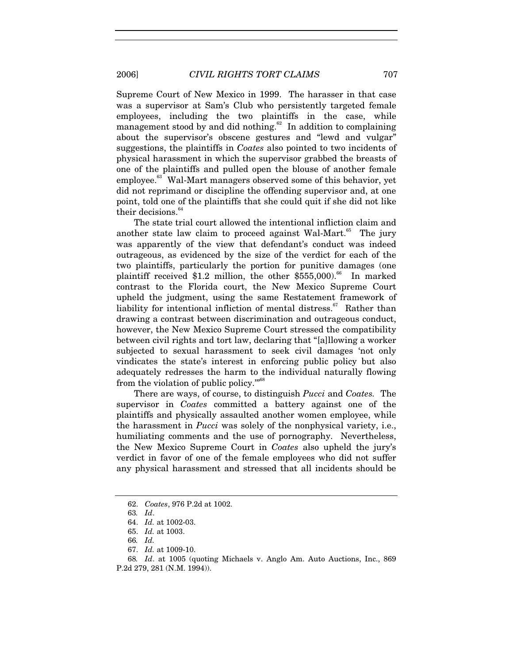Supreme Court of New Mexico in 1999. The harasser in that case was a supervisor at Sam's Club who persistently targeted female employees, including the two plaintiffs in the case, while management stood by and did nothing.<sup>62</sup> In addition to complaining about the supervisor's obscene gestures and "lewd and vulgar" suggestions, the plaintiffs in *Coates* also pointed to two incidents of physical harassment in which the supervisor grabbed the breasts of one of the plaintiffs and pulled open the blouse of another female employee.<sup>63</sup> Wal-Mart managers observed some of this behavior, yet did not reprimand or discipline the offending supervisor and, at one point, told one of the plaintiffs that she could quit if she did not like their decisions.<sup>6</sup>

The state trial court allowed the intentional infliction claim and another state law claim to proceed against Wal-Mart. $65$  The jury was apparently of the view that defendant's conduct was indeed outrageous, as evidenced by the size of the verdict for each of the two plaintiffs, particularly the portion for punitive damages (one plaintiff received \$1.2 million, the other  $$555,000$ .<sup>66</sup> In marked contrast to the Florida court, the New Mexico Supreme Court upheld the judgment, using the same Restatement framework of liability for intentional infliction of mental distress.<sup>67</sup> Rather than drawing a contrast between discrimination and outrageous conduct, however, the New Mexico Supreme Court stressed the compatibility between civil rights and tort law, declaring that "[a]llowing a worker subjected to sexual harassment to seek civil damages 'not only vindicates the state's interest in enforcing public policy but also adequately redresses the harm to the individual naturally flowing from the violation of public policy."<sup>68</sup>

There are ways, of course, to distinguish *Pucci* and *Coates.* The supervisor in *Coates* committed a battery against one of the plaintiffs and physically assaulted another women employee, while the harassment in *Pucci* was solely of the nonphysical variety, i.e., humiliating comments and the use of pornography. Nevertheless, the New Mexico Supreme Court in *Coates* also upheld the jury's verdict in favor of one of the female employees who did not suffer any physical harassment and stressed that all incidents should be

 <sup>62.</sup> *Coates*, 976 P.2d at 1002.

<sup>63</sup>*. Id*.

 <sup>64.</sup> *Id.* at 1002-03.

 <sup>65.</sup> *Id.* at 1003.

<sup>66</sup>*. Id.*

 <sup>67.</sup> *Id.* at 1009-10.

<sup>68</sup>*. Id*. at 1005 (quoting Michaels v. Anglo Am. Auto Auctions, Inc., 869 P.2d 279, 281 (N.M. 1994)).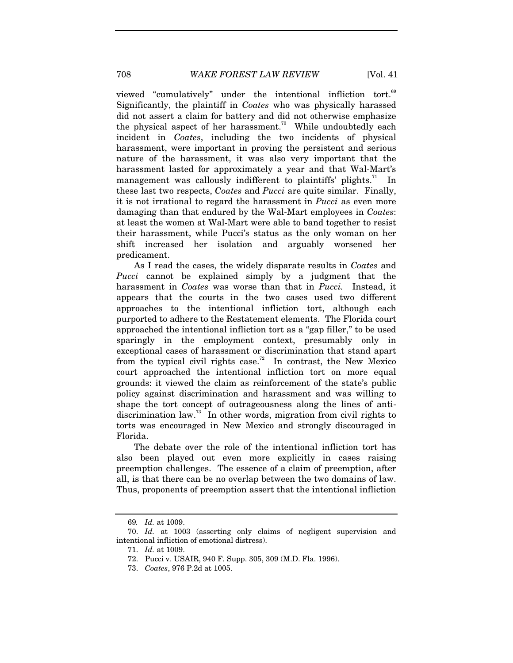viewed "cumulatively" under the intentional infliction tort.<sup>69</sup> Significantly, the plaintiff in *Coates* who was physically harassed did not assert a claim for battery and did not otherwise emphasize the physical aspect of her harassment.<sup>70</sup> While undoubtedly each incident in *Coates*, including the two incidents of physical harassment, were important in proving the persistent and serious nature of the harassment, it was also very important that the harassment lasted for approximately a year and that Wal-Mart's management was callously indifferent to plaintiffs' plights.<sup>71</sup> In these last two respects, *Coates* and *Pucci* are quite similar. Finally, it is not irrational to regard the harassment in *Pucci* as even more damaging than that endured by the Wal-Mart employees in *Coates*: at least the women at Wal-Mart were able to band together to resist their harassment, while Pucci's status as the only woman on her shift increased her isolation and arguably worsened her predicament.

As I read the cases, the widely disparate results in *Coates* and *Pucci* cannot be explained simply by a judgment that the harassment in *Coates* was worse than that in *Pucci.* Instead, it appears that the courts in the two cases used two different approaches to the intentional infliction tort, although each purported to adhere to the Restatement elements. The Florida court approached the intentional infliction tort as a "gap filler," to be used sparingly in the employment context, presumably only in exceptional cases of harassment or discrimination that stand apart from the typical civil rights case.<sup>72</sup> In contrast, the New Mexico court approached the intentional infliction tort on more equal grounds: it viewed the claim as reinforcement of the state's public policy against discrimination and harassment and was willing to shape the tort concept of outrageousness along the lines of antidiscrimination law.<sup>73</sup> In other words, migration from civil rights to torts was encouraged in New Mexico and strongly discouraged in Florida.

The debate over the role of the intentional infliction tort has also been played out even more explicitly in cases raising preemption challenges. The essence of a claim of preemption, after all, is that there can be no overlap between the two domains of law. Thus, proponents of preemption assert that the intentional infliction

<sup>69</sup>*. Id.* at 1009.

 <sup>70.</sup> *Id.* at 1003 (asserting only claims of negligent supervision and intentional infliction of emotional distress).

 <sup>71.</sup> *Id.* at 1009.

 <sup>72.</sup> Pucci v. USAIR, 940 F. Supp. 305, 309 (M.D. Fla. 1996).

 <sup>73.</sup> *Coates*, 976 P.2d at 1005.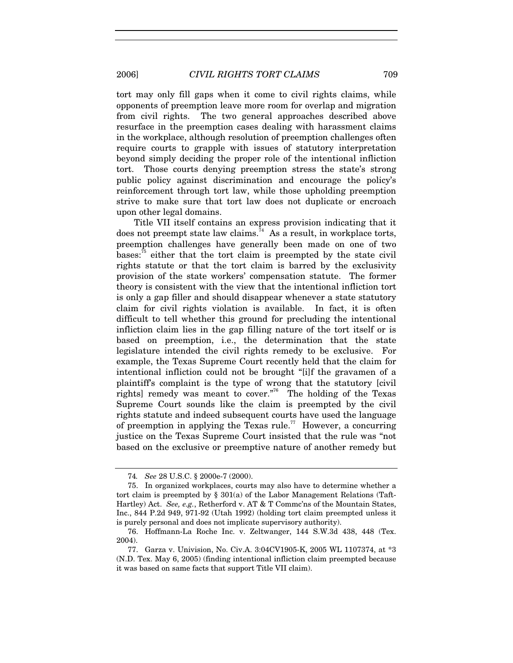tort may only fill gaps when it come to civil rights claims, while opponents of preemption leave more room for overlap and migration from civil rights. The two general approaches described above resurface in the preemption cases dealing with harassment claims in the workplace, although resolution of preemption challenges often require courts to grapple with issues of statutory interpretation beyond simply deciding the proper role of the intentional infliction tort. Those courts denying preemption stress the state's strong public policy against discrimination and encourage the policy's reinforcement through tort law, while those upholding preemption strive to make sure that tort law does not duplicate or encroach upon other legal domains.

Title VII itself contains an express provision indicating that it does not preempt state law claims.<sup> $74$ </sup> As a result, in workplace torts, preemption challenges have generally been made on one of two bases: $75$  either that the tort claim is preempted by the state civil rights statute or that the tort claim is barred by the exclusivity provision of the state workers' compensation statute. The former theory is consistent with the view that the intentional infliction tort is only a gap filler and should disappear whenever a state statutory claim for civil rights violation is available. In fact, it is often difficult to tell whether this ground for precluding the intentional infliction claim lies in the gap filling nature of the tort itself or is based on preemption, i.e., the determination that the state legislature intended the civil rights remedy to be exclusive. For example, the Texas Supreme Court recently held that the claim for intentional infliction could not be brought "[i]f the gravamen of a plaintiff's complaint is the type of wrong that the statutory [civil rights] remedy was meant to cover."<sup>76</sup> The holding of the Texas Supreme Court sounds like the claim is preempted by the civil rights statute and indeed subsequent courts have used the language of preemption in applying the Texas rule.<sup>77</sup> However, a concurring justice on the Texas Supreme Court insisted that the rule was "not based on the exclusive or preemptive nature of another remedy but

<sup>74</sup>*. See* 28 U.S.C. § 2000e-7 (2000).

 <sup>75.</sup> In organized workplaces, courts may also have to determine whether a tort claim is preempted by § 301(a) of the Labor Management Relations (Taft-Hartley) Act. *See, e.g.*, Retherford v. AT & T Commc'ns of the Mountain States, Inc., 844 P.2d 949, 971-92 (Utah 1992) (holding tort claim preempted unless it is purely personal and does not implicate supervisory authority).

 <sup>76.</sup> Hoffmann-La Roche Inc. v. Zeltwanger, 144 S.W.3d 438, 448 (Tex. 2004).

 <sup>77.</sup> Garza v. Univision, No. Civ.A. 3:04CV1905-K, 2005 WL 1107374, at \*3 (N.D. Tex. May 6, 2005) (finding intentional infliction claim preempted because it was based on same facts that support Title VII claim).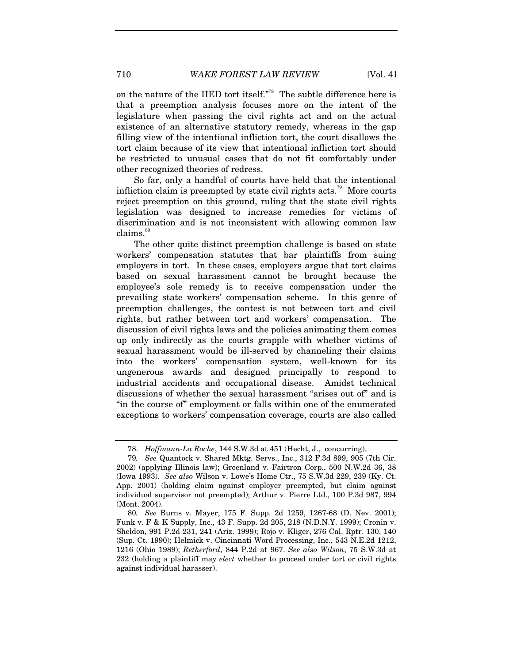on the nature of the IIED tort itself."<sup>78</sup> The subtle difference here is that a preemption analysis focuses more on the intent of the legislature when passing the civil rights act and on the actual existence of an alternative statutory remedy, whereas in the gap filling view of the intentional infliction tort, the court disallows the tort claim because of its view that intentional infliction tort should be restricted to unusual cases that do not fit comfortably under other recognized theories of redress.

So far, only a handful of courts have held that the intentional infliction claim is preempted by state civil rights  $\arccos 79$  More courts reject preemption on this ground, ruling that the state civil rights legislation was designed to increase remedies for victims of discrimination and is not inconsistent with allowing common law  $clains.<sup>80</sup>$ 

The other quite distinct preemption challenge is based on state workers' compensation statutes that bar plaintiffs from suing employers in tort. In these cases, employers argue that tort claims based on sexual harassment cannot be brought because the employee's sole remedy is to receive compensation under the prevailing state workers' compensation scheme. In this genre of preemption challenges, the contest is not between tort and civil rights, but rather between tort and workers' compensation. The discussion of civil rights laws and the policies animating them comes up only indirectly as the courts grapple with whether victims of sexual harassment would be ill-served by channeling their claims into the workers' compensation system, well-known for its ungenerous awards and designed principally to respond to industrial accidents and occupational disease. Amidst technical discussions of whether the sexual harassment "arises out of" and is "in the course of" employment or falls within one of the enumerated exceptions to workers' compensation coverage, courts are also called

 <sup>78.</sup> *Hoffmann-La Roche*, 144 S.W.3d at 451 (Hecht, J., concurring).

<sup>79</sup>*. See* Quantock v. Shared Mktg. Servs., Inc., 312 F.3d 899, 905 (7th Cir. 2002) (applying Illinois law); Greenland v. Fairtron Corp., 500 N.W.2d 36, 38 (Iowa 1993). *See also* Wilson v. Lowe's Home Ctr., 75 S.W.3d 229, 239 (Ky. Ct. App. 2001) (holding claim against employer preempted, but claim against individual supervisor not preempted); Arthur v. Pierre Ltd., 100 P.3d 987, 994 (Mont. 2004).

<sup>80</sup>*. See* Burns v. Mayer, 175 F. Supp. 2d 1259, 1267-68 (D. Nev. 2001); Funk v. F & K Supply, Inc., 43 F. Supp. 2d 205, 218 (N.D.N.Y. 1999); Cronin v. Sheldon, 991 P.2d 231, 241 (Ariz. 1999); Rojo v. Kliger, 276 Cal. Rptr. 130, 140 (Sup. Ct. 1990); Helmick v. Cincinnati Word Processing, Inc., 543 N.E.2d 1212, 1216 (Ohio 1989); *Retherford*, 844 P.2d at 967. *See also Wilson*, 75 S.W.3d at 232 (holding a plaintiff may *elect* whether to proceed under tort or civil rights against individual harasser).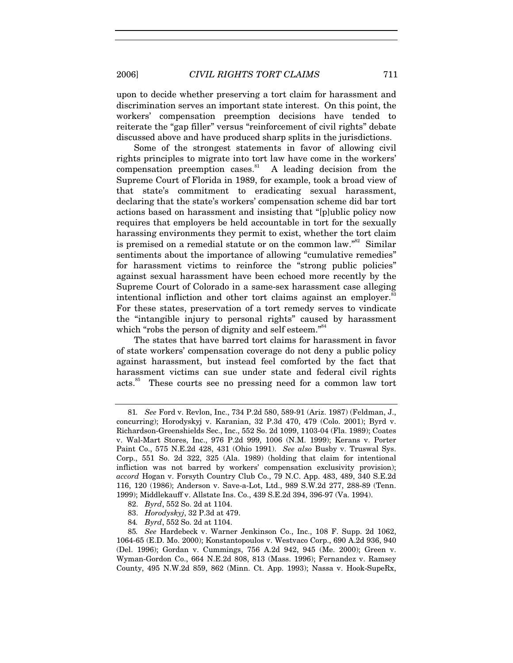upon to decide whether preserving a tort claim for harassment and discrimination serves an important state interest. On this point, the workers' compensation preemption decisions have tended to reiterate the "gap filler" versus "reinforcement of civil rights" debate discussed above and have produced sharp splits in the jurisdictions.

Some of the strongest statements in favor of allowing civil rights principles to migrate into tort law have come in the workers' compensation preemption cases.<sup>81</sup> A leading decision from the Supreme Court of Florida in 1989, for example, took a broad view of that state's commitment to eradicating sexual harassment, declaring that the state's workers' compensation scheme did bar tort actions based on harassment and insisting that "[p]ublic policy now requires that employers be held accountable in tort for the sexually harassing environments they permit to exist, whether the tort claim is premised on a remedial statute or on the common law."<sup>82</sup> Similar sentiments about the importance of allowing "cumulative remedies" for harassment victims to reinforce the "strong public policies" against sexual harassment have been echoed more recently by the Supreme Court of Colorado in a same-sex harassment case alleging intentional infliction and other tort claims against an employer. $\degree$ For these states, preservation of a tort remedy serves to vindicate the "intangible injury to personal rights" caused by harassment which "robs the person of dignity and self esteem."<sup>84</sup>

The states that have barred tort claims for harassment in favor of state workers' compensation coverage do not deny a public policy against harassment, but instead feel comforted by the fact that harassment victims can sue under state and federal civil rights acts.85 These courts see no pressing need for a common law tort

- 83. *Horodyskyj*, 32 P.3d at 479.
- 84*. Byrd*, 552 So. 2d at 1104.

<sup>81</sup>*. See* Ford v. Revlon, Inc., 734 P.2d 580, 589-91 (Ariz. 1987) (Feldman, J., concurring); Horodyskyj v. Karanian, 32 P.3d 470, 479 (Colo. 2001); Byrd v. Richardson-Greenshields Sec., Inc., 552 So. 2d 1099, 1103-04 (Fla. 1989); Coates v. Wal-Mart Stores, Inc., 976 P.2d 999, 1006 (N.M. 1999); Kerans v. Porter Paint Co., 575 N.E.2d 428, 431 (Ohio 1991). *See also* Busby v. Truswal Sys. Corp., 551 So. 2d 322, 325 (Ala. 1989) (holding that claim for intentional infliction was not barred by workers' compensation exclusivity provision); *accord* Hogan v. Forsyth Country Club Co., 79 N.C. App. 483, 489, 340 S.E.2d 116, 120 (1986); Anderson v. Save-a-Lot, Ltd., 989 S.W.2d 277, 288-89 (Tenn. 1999); Middlekauff v. Allstate Ins. Co., 439 S.E.2d 394, 396-97 (Va. 1994).

 <sup>82.</sup> *Byrd*, 552 So. 2d at 1104.

<sup>85</sup>*. See* Hardebeck v. Warner Jenkinson Co., Inc., 108 F. Supp. 2d 1062, 1064-65 (E.D. Mo. 2000); Konstantopoulos v. Westvaco Corp., 690 A.2d 936, 940 (Del. 1996); Gordan v. Cummings, 756 A.2d 942, 945 (Me. 2000); Green v. Wyman-Gordon Co., 664 N.E.2d 808, 813 (Mass. 1996); Fernandez v. Ramsey County, 495 N.W.2d 859, 862 (Minn. Ct. App. 1993); Nassa v. Hook-SupeRx,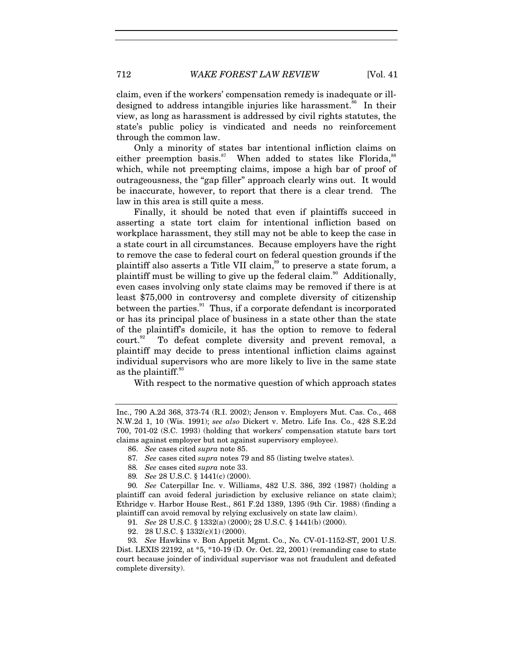claim, even if the workers' compensation remedy is inadequate or illdesigned to address intangible injuries like harassment.<sup>86</sup> In their view, as long as harassment is addressed by civil rights statutes, the state's public policy is vindicated and needs no reinforcement through the common law.

Only a minority of states bar intentional infliction claims on either preemption basis. $87$  When added to states like Florida, $88$ which, while not preempting claims, impose a high bar of proof of outrageousness, the "gap filler" approach clearly wins out. It would be inaccurate, however, to report that there is a clear trend. The law in this area is still quite a mess.

Finally, it should be noted that even if plaintiffs succeed in asserting a state tort claim for intentional infliction based on workplace harassment, they still may not be able to keep the case in a state court in all circumstances. Because employers have the right to remove the case to federal court on federal question grounds if the plaintiff also asserts a Title VII claim,<sup>89</sup> to preserve a state forum, a plaintiff must be willing to give up the federal claim.<sup>90</sup> Additionally, even cases involving only state claims may be removed if there is at least \$75,000 in controversy and complete diversity of citizenship between the parties.<sup>91</sup> Thus, if a corporate defendant is incorporated or has its principal place of business in a state other than the state of the plaintiff's domicile, it has the option to remove to federal court.<sup>92</sup> To defeat complete diversity and prevent removal, a plaintiff may decide to press intentional infliction claims against individual supervisors who are more likely to live in the same state as the plaintiff.<sup>93</sup>

With respect to the normative question of which approach states

Inc., 790 A.2d 368, 373-74 (R.I. 2002); Jenson v. Employers Mut. Cas. Co., 468 N.W.2d 1, 10 (Wis. 1991); *see also* Dickert v. Metro. Life Ins. Co., 428 S.E.2d 700, 701-02 (S.C. 1993) (holding that workers' compensation statute bars tort claims against employer but not against supervisory employee).

 <sup>86.</sup> *See* cases cited *supra* note 85.

<sup>87</sup>*. See* cases cited *supra* notes 79 and 85 (listing twelve states).

<sup>88</sup>*. See* cases cited *supra* note 33.

<sup>89</sup>*. See* 28 U.S.C. § 1441(c) (2000).

<sup>90</sup>*. See* Caterpillar Inc. v. Williams, 482 U.S. 386, 392 (1987) (holding a plaintiff can avoid federal jurisdiction by exclusive reliance on state claim); Ethridge v. Harbor House Rest., 861 F.2d 1389, 1395 (9th Cir. 1988) (finding a plaintiff can avoid removal by relying exclusively on state law claim).

<sup>91</sup>*. See* 28 U.S.C. § 1332(a) (2000); 28 U.S.C. § 1441(b) (2000).

 <sup>92. 28</sup> U.S.C. § 1332(c)(1) (2000).

<sup>93</sup>*. See* Hawkins v. Bon Appetit Mgmt. Co., No. CV-01-1152-ST, 2001 U.S. Dist. LEXIS 22192, at \*5, \*10-19 (D. Or. Oct. 22, 2001) (remanding case to state court because joinder of individual supervisor was not fraudulent and defeated complete diversity).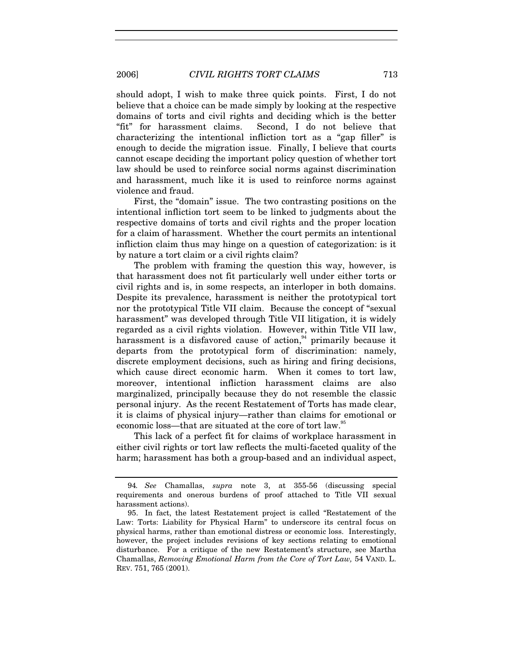should adopt, I wish to make three quick points. First, I do not believe that a choice can be made simply by looking at the respective domains of torts and civil rights and deciding which is the better "fit" for harassment claims. Second, I do not believe that characterizing the intentional infliction tort as a "gap filler" is enough to decide the migration issue. Finally, I believe that courts cannot escape deciding the important policy question of whether tort law should be used to reinforce social norms against discrimination and harassment, much like it is used to reinforce norms against violence and fraud.

First, the "domain" issue. The two contrasting positions on the intentional infliction tort seem to be linked to judgments about the respective domains of torts and civil rights and the proper location for a claim of harassment. Whether the court permits an intentional infliction claim thus may hinge on a question of categorization: is it by nature a tort claim or a civil rights claim?

The problem with framing the question this way, however, is that harassment does not fit particularly well under either torts or civil rights and is, in some respects, an interloper in both domains. Despite its prevalence, harassment is neither the prototypical tort nor the prototypical Title VII claim. Because the concept of "sexual harassment" was developed through Title VII litigation, it is widely regarded as a civil rights violation. However, within Title VII law, harassment is a disfavored cause of action,<sup>94</sup> primarily because it departs from the prototypical form of discrimination: namely, discrete employment decisions, such as hiring and firing decisions, which cause direct economic harm. When it comes to tort law, moreover, intentional infliction harassment claims are also marginalized, principally because they do not resemble the classic personal injury. As the recent Restatement of Torts has made clear, it is claims of physical injury—rather than claims for emotional or economic loss—that are situated at the core of tort law.<sup>35</sup>

This lack of a perfect fit for claims of workplace harassment in either civil rights or tort law reflects the multi-faceted quality of the harm; harassment has both a group-based and an individual aspect,

<sup>94</sup>*. See* Chamallas, *supra* note 3, at 355-56 (discussing special requirements and onerous burdens of proof attached to Title VII sexual harassment actions).

 <sup>95.</sup> In fact, the latest Restatement project is called "Restatement of the Law: Torts: Liability for Physical Harm" to underscore its central focus on physical harms, rather than emotional distress or economic loss. Interestingly, however, the project includes revisions of key sections relating to emotional disturbance. For a critique of the new Restatement's structure, see Martha Chamallas, *Removing Emotional Harm from the Core of Tort Law,* 54 VAND. L. REV. 751, 765 (2001).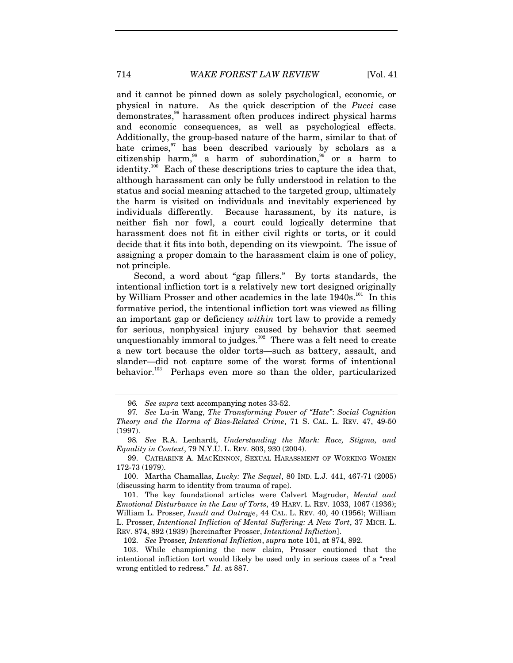and it cannot be pinned down as solely psychological, economic, or physical in nature. As the quick description of the *Pucci* case demonstrates,<sup>96</sup> harassment often produces indirect physical harms and economic consequences, as well as psychological effects. Additionally, the group-based nature of the harm, similar to that of hate crimes, $97$  has been described variously by scholars as a citizenship harm,<sup>98</sup> a harm of subordination,<sup>99</sup> or a harm to identity.<sup>100</sup> Each of these descriptions tries to capture the idea that, although harassment can only be fully understood in relation to the status and social meaning attached to the targeted group, ultimately the harm is visited on individuals and inevitably experienced by individuals differently. Because harassment, by its nature, is neither fish nor fowl, a court could logically determine that harassment does not fit in either civil rights or torts, or it could decide that it fits into both, depending on its viewpoint. The issue of assigning a proper domain to the harassment claim is one of policy, not principle.

Second, a word about "gap fillers." By torts standards, the intentional infliction tort is a relatively new tort designed originally by William Prosser and other academics in the late 1940s.<sup>101</sup> In this formative period, the intentional infliction tort was viewed as filling an important gap or deficiency *within* tort law to provide a remedy for serious, nonphysical injury caused by behavior that seemed unquestionably immoral to judges.<sup>102</sup> There was a felt need to create a new tort because the older torts—such as battery, assault, and slander—did not capture some of the worst forms of intentional behavior.<sup>103</sup> Perhaps even more so than the older, particularized

<sup>96</sup>*. See supra* text accompanying notes 33-52.

<sup>97</sup>*. See* Lu-in Wang, *The Transforming Power of "Hate"*: *Social Cognition Theory and the Harms of Bias-Related Crime*, 71 S. CAL. L. REV. 47, 49-50 (1997).

<sup>98</sup>*. See* R.A. Lenhardt, *Understanding the Mark: Race, Stigma, and Equality in Context*, 79 N.Y.U. L. REV. 803, 930 (2004).

 <sup>99.</sup> CATHARINE A. MACKINNON, SEXUAL HARASSMENT OF WORKING WOMEN 172-73 (1979).

 <sup>100.</sup> Martha Chamallas, *Lucky: The Sequel*, 80 IND. L.J. 441, 467-71 (2005) (discussing harm to identity from trauma of rape).

 <sup>101.</sup> The key foundational articles were Calvert Magruder, *Mental and Emotional Disturbance in the Law of Torts*, 49 HARV. L. REV. 1033, 1067 (1936); William L. Prosser, *Insult and Outrage*, 44 CAL. L. REV. 40, 40 (1956); William L. Prosser, *Intentional Infliction of Mental Suffering: A New Tort*, 37 MICH. L. REV. 874, 892 (1939) [hereinafter Prosser, *Intentional Infliction*].

 <sup>102.</sup> *See* Prosser*, Intentional Infliction*, *supra* note 101, at 874, 892.

 <sup>103.</sup> While championing the new claim, Prosser cautioned that the intentional infliction tort would likely be used only in serious cases of a "real wrong entitled to redress." *Id.* at 887.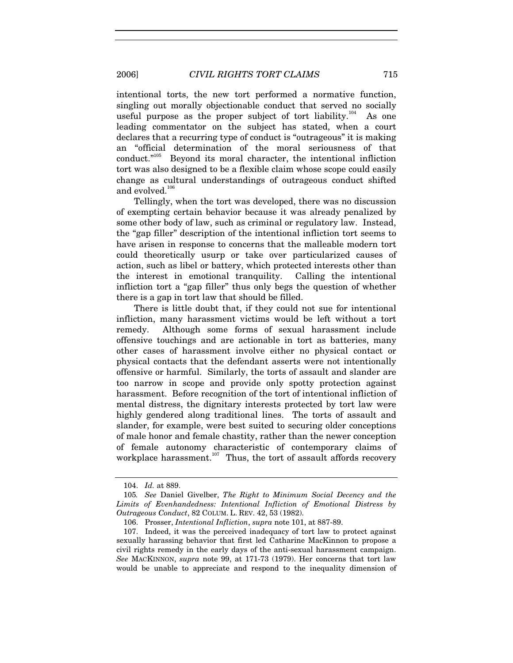intentional torts, the new tort performed a normative function, singling out morally objectionable conduct that served no socially useful purpose as the proper subject of tort liability.<sup>104</sup> As one leading commentator on the subject has stated, when a court declares that a recurring type of conduct is "outrageous" it is making an "official determination of the moral seriousness of that conduct."105 Beyond its moral character, the intentional infliction tort was also designed to be a flexible claim whose scope could easily change as cultural understandings of outrageous conduct shifted and evolved.<sup>106</sup>

Tellingly, when the tort was developed, there was no discussion of exempting certain behavior because it was already penalized by some other body of law, such as criminal or regulatory law. Instead, the "gap filler" description of the intentional infliction tort seems to have arisen in response to concerns that the malleable modern tort could theoretically usurp or take over particularized causes of action, such as libel or battery, which protected interests other than the interest in emotional tranquility. Calling the intentional infliction tort a "gap filler" thus only begs the question of whether there is a gap in tort law that should be filled.

There is little doubt that, if they could not sue for intentional infliction, many harassment victims would be left without a tort remedy. Although some forms of sexual harassment include offensive touchings and are actionable in tort as batteries, many other cases of harassment involve either no physical contact or physical contacts that the defendant asserts were not intentionally offensive or harmful. Similarly, the torts of assault and slander are too narrow in scope and provide only spotty protection against harassment. Before recognition of the tort of intentional infliction of mental distress, the dignitary interests protected by tort law were highly gendered along traditional lines. The torts of assault and slander, for example, were best suited to securing older conceptions of male honor and female chastity, rather than the newer conception of female autonomy characteristic of contemporary claims of workplace harassment. $107$  Thus, the tort of assault affords recovery

 <sup>104.</sup> *Id.* at 889.

<sup>105</sup>*. See* Daniel Givelber, *The Right to Minimum Social Decency and the Limits of Evenhandedness: Intentional Infliction of Emotional Distress by Outrageous Conduct*, 82 COLUM. L. REV. 42, 53 (1982).

 <sup>106.</sup> Prosser, *Intentional Infliction*, *supra* note 101, at 887-89.

 <sup>107.</sup> Indeed, it was the perceived inadequacy of tort law to protect against sexually harassing behavior that first led Catharine MacKinnon to propose a civil rights remedy in the early days of the anti-sexual harassment campaign. *See* MACKINNON, *supra* note 99, at 171-73 (1979). Her concerns that tort law would be unable to appreciate and respond to the inequality dimension of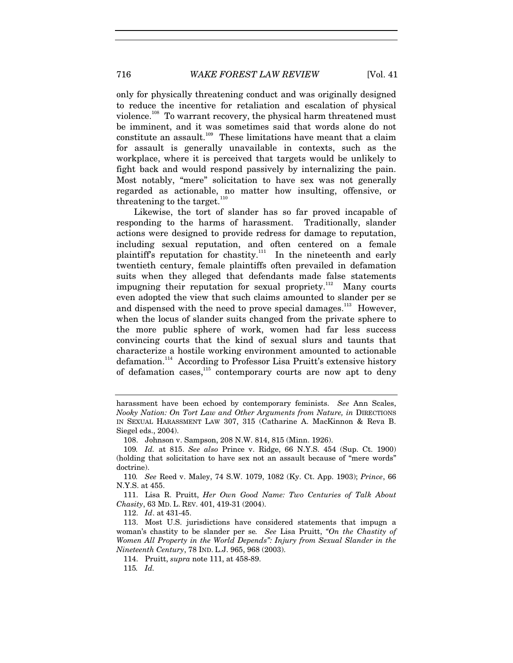only for physically threatening conduct and was originally designed to reduce the incentive for retaliation and escalation of physical violence.<sup>108</sup> To warrant recovery, the physical harm threatened must be imminent, and it was sometimes said that words alone do not constitute an assault.<sup>109</sup> These limitations have meant that a claim for assault is generally unavailable in contexts, such as the workplace, where it is perceived that targets would be unlikely to fight back and would respond passively by internalizing the pain. Most notably, "mere" solicitation to have sex was not generally regarded as actionable, no matter how insulting, offensive, or threatening to the target. $110$ 

Likewise, the tort of slander has so far proved incapable of responding to the harms of harassment. Traditionally, slander actions were designed to provide redress for damage to reputation, including sexual reputation, and often centered on a female plaintiff's reputation for chastity.<sup>111</sup> In the nineteenth and early twentieth century, female plaintiffs often prevailed in defamation suits when they alleged that defendants made false statements impugning their reputation for sexual propriety.<sup>112</sup> Many courts even adopted the view that such claims amounted to slander per se and dispensed with the need to prove special damages.<sup>113</sup> However, when the locus of slander suits changed from the private sphere to the more public sphere of work, women had far less success convincing courts that the kind of sexual slurs and taunts that characterize a hostile working environment amounted to actionable defamation.<sup>114</sup> According to Professor Lisa Pruitt's extensive history of defamation cases,<sup>115</sup> contemporary courts are now apt to deny

112. *Id*. at 431-45.

harassment have been echoed by contemporary feminists. *See* Ann Scales, *Nooky Nation: On Tort Law and Other Arguments from Nature, in* DIRECTIONS IN SEXUAL HARASSMENT LAW 307, 315 (Catharine A. MacKinnon & Reva B. Siegel eds., 2004).

 <sup>108.</sup> Johnson v. Sampson, 208 N.W. 814, 815 (Minn. 1926).

<sup>109</sup>*. Id.* at 815. *See also* Prince v. Ridge, 66 N.Y.S. 454 (Sup. Ct. 1900) (holding that solicitation to have sex not an assault because of "mere words" doctrine).

<sup>110</sup>*. See* Reed v. Maley, 74 S.W. 1079, 1082 (Ky. Ct. App. 1903); *Prince*, 66 N.Y.S. at 455.

 <sup>111.</sup> Lisa R. Pruitt, *Her Own Good Name: Two Centuries of Talk About Chasity*, 63 MD. L. REV. 401, 419-31 (2004).

 <sup>113.</sup> Most U.S. jurisdictions have considered statements that impugn a woman's chastity to be slander per se*. See* Lisa Pruitt, *"On the Chastity of Women All Property in the World Depends": Injury from Sexual Slander in the Nineteenth Century*, 78 IND. L.J. 965, 968 (2003).

 <sup>114.</sup> Pruitt, *supra* note 111, at 458-89.

<sup>115</sup>*. Id.*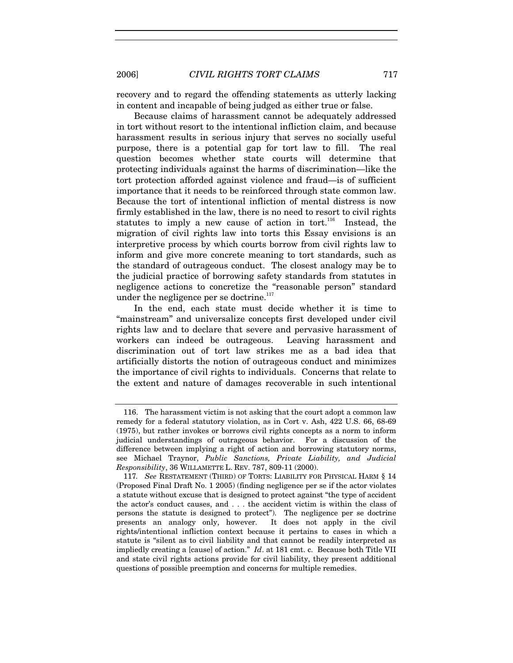recovery and to regard the offending statements as utterly lacking in content and incapable of being judged as either true or false.

Because claims of harassment cannot be adequately addressed in tort without resort to the intentional infliction claim, and because harassment results in serious injury that serves no socially useful purpose, there is a potential gap for tort law to fill. The real question becomes whether state courts will determine that protecting individuals against the harms of discrimination—like the tort protection afforded against violence and fraud—is of sufficient importance that it needs to be reinforced through state common law. Because the tort of intentional infliction of mental distress is now firmly established in the law, there is no need to resort to civil rights statutes to imply a new cause of action in tort.<sup>116</sup> Instead, the migration of civil rights law into torts this Essay envisions is an interpretive process by which courts borrow from civil rights law to inform and give more concrete meaning to tort standards, such as the standard of outrageous conduct. The closest analogy may be to the judicial practice of borrowing safety standards from statutes in negligence actions to concretize the "reasonable person" standard under the negligence per se doctrine.<sup>117</sup>

In the end, each state must decide whether it is time to "mainstream" and universalize concepts first developed under civil rights law and to declare that severe and pervasive harassment of workers can indeed be outrageous. Leaving harassment and discrimination out of tort law strikes me as a bad idea that artificially distorts the notion of outrageous conduct and minimizes the importance of civil rights to individuals. Concerns that relate to the extent and nature of damages recoverable in such intentional

 <sup>116.</sup> The harassment victim is not asking that the court adopt a common law remedy for a federal statutory violation, as in Cort v. Ash, 422 U.S. 66, 68-69 (1975), but rather invokes or borrows civil rights concepts as a norm to inform judicial understandings of outrageous behavior. For a discussion of the difference between implying a right of action and borrowing statutory norms, see Michael Traynor, *Public Sanctions, Private Liability, and Judicial Responsibility*, 36 WILLAMETTE L. REV. 787, 809-11 (2000).

<sup>117</sup>*. See* RESTATEMENT (THIRD) OF TORTS: LIABILITY FOR PHYSICAL HARM § 14 (Proposed Final Draft No. 1 2005) (finding negligence per se if the actor violates a statute without excuse that is designed to protect against "the type of accident the actor's conduct causes, and . . . the accident victim is within the class of persons the statute is designed to protect"). The negligence per se doctrine presents an analogy only, however. It does not apply in the civil presents an analogy only, however. rights/intentional infliction context because it pertains to cases in which a statute is "silent as to civil liability and that cannot be readily interpreted as impliedly creating a [cause] of action." *Id*. at 181 cmt. c. Because both Title VII and state civil rights actions provide for civil liability, they present additional questions of possible preemption and concerns for multiple remedies.